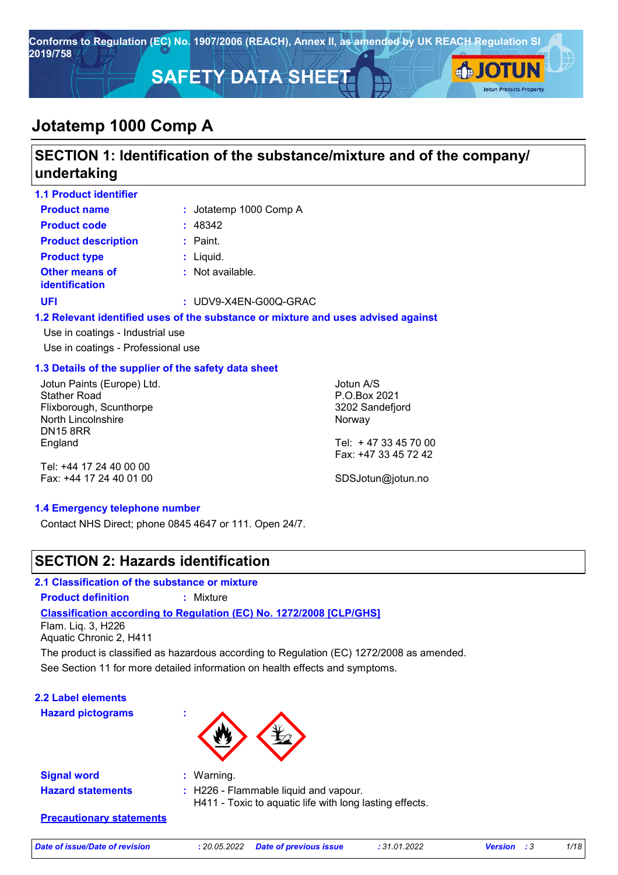

### **SECTION 1: Identification of the substance/mixture and of the company/ undertaking**

| <b>1.1 Product identifier</b>                        |                         |                                                                                   |  |
|------------------------------------------------------|-------------------------|-----------------------------------------------------------------------------------|--|
| <b>Product name</b>                                  | : Jotatemp 1000 Comp A  |                                                                                   |  |
| <b>Product code</b>                                  | : 48342                 |                                                                                   |  |
| <b>Product description</b>                           | $:$ Paint.              |                                                                                   |  |
| <b>Product type</b>                                  | $:$ Liquid.             |                                                                                   |  |
| Other means of<br><b>identification</b>              | : Not available.        |                                                                                   |  |
| <b>UFI</b>                                           | $:$ UDV9-X4EN-G00Q-GRAC |                                                                                   |  |
|                                                      |                         | 1.2 Relevant identified uses of the substance or mixture and uses advised against |  |
| Use in coatings - Industrial use                     |                         |                                                                                   |  |
| Use in coatings - Professional use                   |                         |                                                                                   |  |
| 1.3 Details of the supplier of the safety data sheet |                         |                                                                                   |  |
| Jotun Paints (Europe) Ltd.                           |                         | Jotun A/S                                                                         |  |
| <b>Stather Road</b>                                  |                         | P.O.Box 2021                                                                      |  |
| Flixborough, Scunthorpe                              |                         | 3202 Sandefjord                                                                   |  |
| North Lincolnshire                                   |                         | Norway                                                                            |  |
| <b>DN15 8RR</b>                                      |                         |                                                                                   |  |

Tel: +44 17 24 40 00 00 Fax: +44 17 24 40 01 00

England

Tel: + 47 33 45 70 00 Fax: +47 33 45 72 42

SDSJotun@jotun.no

### **1.4 Emergency telephone number**

Contact NHS Direct; phone 0845 4647 or 111. Open 24/7.

### **SECTION 2: Hazards identification**

### **2.1 Classification of the substance or mixture**

**Product definition :** Mixture

### **Classification according to Regulation (EC) No. 1272/2008 [CLP/GHS]**

Flam. Liq. 3, H226 Aquatic Chronic 2, H411

See Section 11 for more detailed information on health effects and symptoms. The product is classified as hazardous according to Regulation (EC) 1272/2008 as amended.

**2.2 Label elements**

**Hazard pictograms :**



**Signal word : Hazard statements :**

: H226 - Flammable liquid and vapour.

H411 - Toxic to aquatic life with long lasting effects.

**Precautionary statements**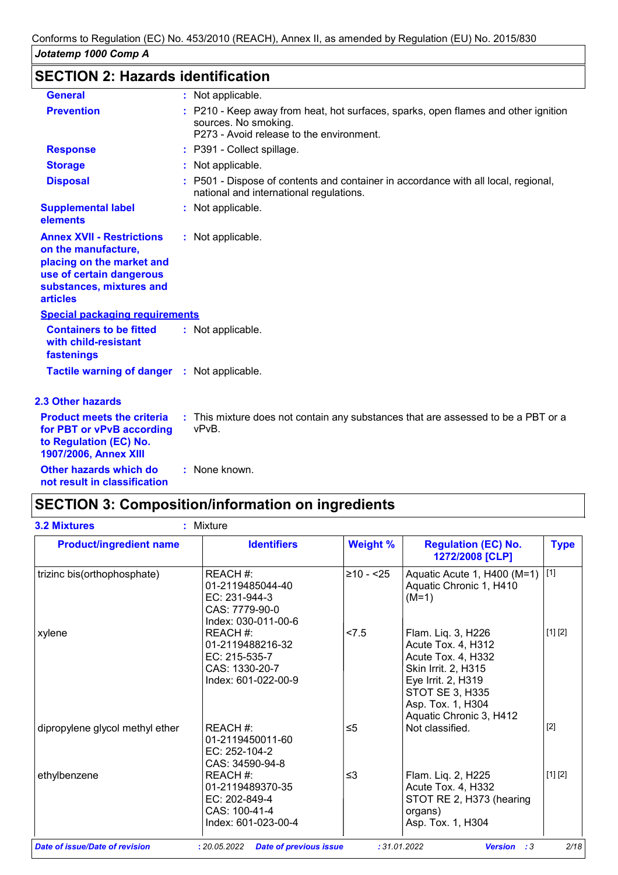## **SECTION 2: Hazards identification**

| <b>General</b>                                                                                                                                                  | : Not applicable.                                                                                                                                      |  |
|-----------------------------------------------------------------------------------------------------------------------------------------------------------------|--------------------------------------------------------------------------------------------------------------------------------------------------------|--|
| <b>Prevention</b>                                                                                                                                               | : P210 - Keep away from heat, hot surfaces, sparks, open flames and other ignition<br>sources. No smoking.<br>P273 - Avoid release to the environment. |  |
| <b>Response</b>                                                                                                                                                 | : P391 - Collect spillage.                                                                                                                             |  |
| <b>Storage</b>                                                                                                                                                  | : Not applicable.                                                                                                                                      |  |
| <b>Disposal</b>                                                                                                                                                 | : P501 - Dispose of contents and container in accordance with all local, regional,<br>national and international regulations.                          |  |
| <b>Supplemental label</b><br>elements                                                                                                                           | : Not applicable.                                                                                                                                      |  |
| <b>Annex XVII - Restrictions</b><br>on the manufacture,<br>placing on the market and<br>use of certain dangerous<br>substances, mixtures and<br><b>articles</b> | : Not applicable.                                                                                                                                      |  |
| <b>Special packaging requirements</b>                                                                                                                           |                                                                                                                                                        |  |
| <b>Containers to be fitted</b><br>with child-resistant<br>fastenings                                                                                            | : Not applicable.                                                                                                                                      |  |
| <b>Tactile warning of danger : Not applicable.</b>                                                                                                              |                                                                                                                                                        |  |
| <b>2.3 Other hazards</b>                                                                                                                                        |                                                                                                                                                        |  |
| <b>Product meets the criteria</b><br>for PBT or vPvB according<br>to Regulation (EC) No.<br>1907/2006, Annex XIII                                               | : This mixture does not contain any substances that are assessed to be a PBT or a<br>vPvB.                                                             |  |
| Other hazards which do<br>not result in classification                                                                                                          | : None known.                                                                                                                                          |  |

## **SECTION 3: Composition/information on ingredients**

| <b>Product/ingredient name</b>  | <b>Identifiers</b>                                                                     | <b>Weight %</b> | <b>Regulation (EC) No.</b><br>1272/2008 [CLP]                                                                                                                                  | <b>Type</b> |
|---------------------------------|----------------------------------------------------------------------------------------|-----------------|--------------------------------------------------------------------------------------------------------------------------------------------------------------------------------|-------------|
| trizinc bis(orthophosphate)     | REACH #:<br>01-2119485044-40<br>EC: 231-944-3<br>CAS: 7779-90-0<br>Index: 030-011-00-6 | $≥10 - 25$      | Aquatic Acute 1, H400 (M=1)<br>Aquatic Chronic 1, H410<br>$(M=1)$                                                                                                              | $[1]$       |
| xylene                          | REACH #:<br>01-2119488216-32<br>EC: 215-535-7<br>CAS: 1330-20-7<br>Index: 601-022-00-9 | < 7.5           | Flam. Liq. 3, H226<br>Acute Tox. 4, H312<br>Acute Tox. 4, H332<br>Skin Irrit. 2, H315<br>Eye Irrit. 2, H319<br>STOT SE 3, H335<br>Asp. Tox. 1, H304<br>Aquatic Chronic 3, H412 | [1] [2]     |
| dipropylene glycol methyl ether | REACH #:<br>01-2119450011-60<br>EC: 252-104-2<br>CAS: 34590-94-8                       | $\leq 5$        | Not classified.                                                                                                                                                                | $[2]$       |
| ethylbenzene                    | REACH #:<br>01-2119489370-35<br>EC: 202-849-4<br>CAS: 100-41-4<br>Index: 601-023-00-4  | $\leq$ 3        | Flam. Liq. 2, H225<br>Acute Tox. 4, H332<br>STOT RE 2, H373 (hearing<br>organs)<br>Asp. Tox. 1, H304                                                                           | [1] [2]     |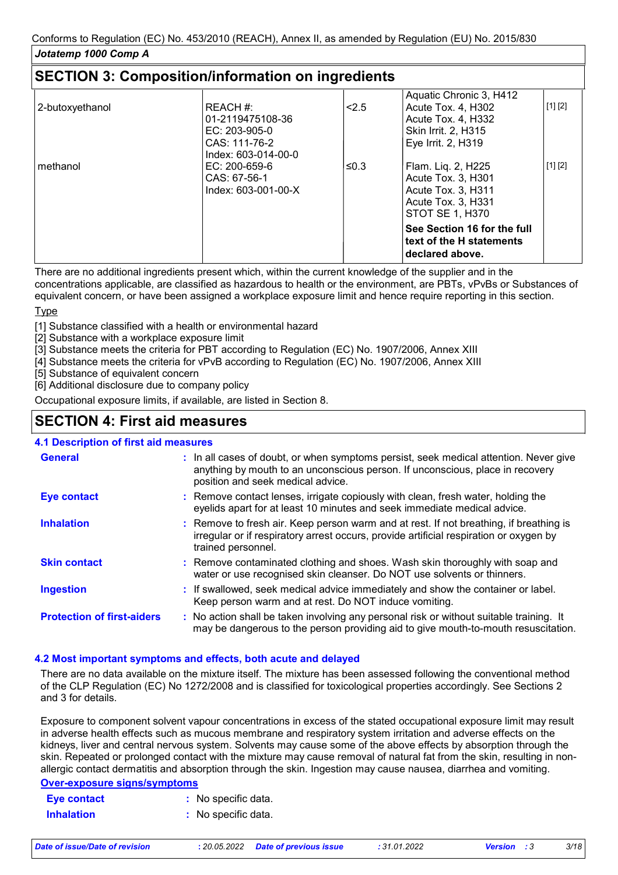|                 |                     |       | Aquatic Chronic 3, H412                                                    |         |
|-----------------|---------------------|-------|----------------------------------------------------------------------------|---------|
| 2-butoxyethanol | REACH #:            | < 2.5 | Acute Tox. 4, H302                                                         | [1] [2] |
|                 | 01-2119475108-36    |       | Acute Tox. 4, H332                                                         |         |
|                 | $EC: 203-905-0$     |       | <b>Skin Irrit. 2, H315</b>                                                 |         |
|                 | CAS: 111-76-2       |       | Eye Irrit. 2, H319                                                         |         |
|                 | Index: 603-014-00-0 |       |                                                                            |         |
| methanol        | $EC: 200-659-6$     | ≤0.3  | Flam. Liq. 2, H225                                                         | [1] [2] |
|                 | $CAS: 67-56-1$      |       | Acute Tox. 3, H301                                                         |         |
|                 | Index: 603-001-00-X |       | Acute Tox. 3. H311                                                         |         |
|                 |                     |       | Acute Tox. 3, H331                                                         |         |
|                 |                     |       | STOT SE 1, H370                                                            |         |
|                 |                     |       | See Section 16 for the full<br>text of the H statements<br>declared above. |         |

There are no additional ingredients present which, within the current knowledge of the supplier and in the concentrations applicable, are classified as hazardous to health or the environment, are PBTs, vPvBs or Substances of equivalent concern, or have been assigned a workplace exposure limit and hence require reporting in this section.

#### **Type**

[1] Substance classified with a health or environmental hazard

[2] Substance with a workplace exposure limit

[3] Substance meets the criteria for PBT according to Regulation (EC) No. 1907/2006, Annex XIII

[4] Substance meets the criteria for vPvB according to Regulation (EC) No. 1907/2006, Annex XIII

[5] Substance of equivalent concern

[6] Additional disclosure due to company policy

Occupational exposure limits, if available, are listed in Section 8.

### **SECTION 4: First aid measures**

### **4.1 Description of first aid measures**

| <b>General</b>                    | : In all cases of doubt, or when symptoms persist, seek medical attention. Never give<br>anything by mouth to an unconscious person. If unconscious, place in recovery<br>position and seek medical advice. |
|-----------------------------------|-------------------------------------------------------------------------------------------------------------------------------------------------------------------------------------------------------------|
| <b>Eye contact</b>                | : Remove contact lenses, irrigate copiously with clean, fresh water, holding the<br>eyelids apart for at least 10 minutes and seek immediate medical advice.                                                |
| <b>Inhalation</b>                 | : Remove to fresh air. Keep person warm and at rest. If not breathing, if breathing is<br>irregular or if respiratory arrest occurs, provide artificial respiration or oxygen by<br>trained personnel.      |
| <b>Skin contact</b>               | : Remove contaminated clothing and shoes. Wash skin thoroughly with soap and<br>water or use recognised skin cleanser. Do NOT use solvents or thinners.                                                     |
| <b>Ingestion</b>                  | : If swallowed, seek medical advice immediately and show the container or label.<br>Keep person warm and at rest. Do NOT induce vomiting.                                                                   |
| <b>Protection of first-aiders</b> | : No action shall be taken involving any personal risk or without suitable training. It<br>may be dangerous to the person providing aid to give mouth-to-mouth resuscitation.                               |

### **4.2 Most important symptoms and effects, both acute and delayed**

There are no data available on the mixture itself. The mixture has been assessed following the conventional method of the CLP Regulation (EC) No 1272/2008 and is classified for toxicological properties accordingly. See Sections 2 and 3 for details.

Exposure to component solvent vapour concentrations in excess of the stated occupational exposure limit may result in adverse health effects such as mucous membrane and respiratory system irritation and adverse effects on the kidneys, liver and central nervous system. Solvents may cause some of the above effects by absorption through the skin. Repeated or prolonged contact with the mixture may cause removal of natural fat from the skin, resulting in nonallergic contact dermatitis and absorption through the skin. Ingestion may cause nausea, diarrhea and vomiting.

### **Over-exposure signs/symptoms**

| Eye contact       | : No specific data. |
|-------------------|---------------------|
| <b>Inhalation</b> | : No specific data. |

| Date of issue/Date of revision |  |  |  |  |  |  |  |
|--------------------------------|--|--|--|--|--|--|--|
|--------------------------------|--|--|--|--|--|--|--|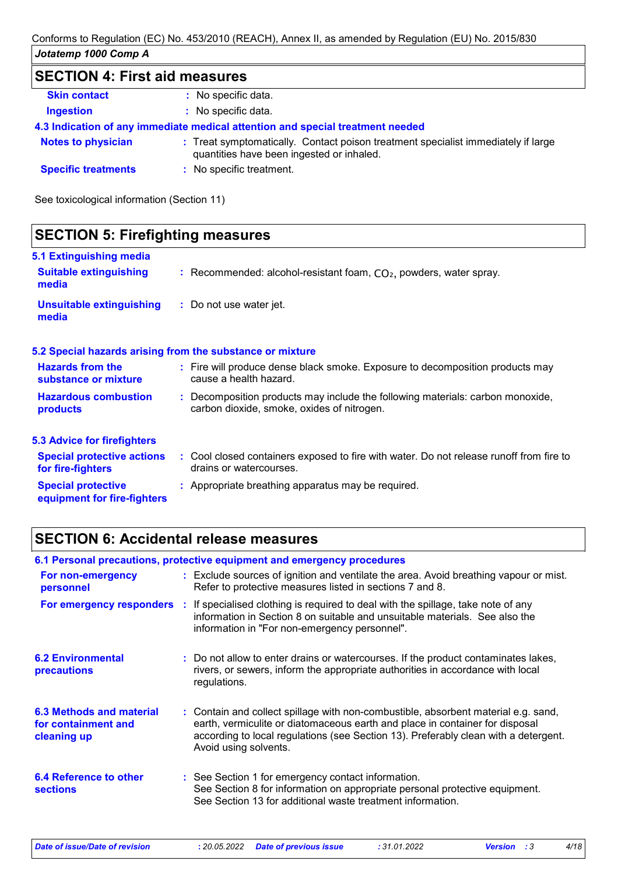## **SECTION 4: First aid measures**

| <b>Skin contact</b>        | : No specific data.                                                                                                            |
|----------------------------|--------------------------------------------------------------------------------------------------------------------------------|
| <b>Ingestion</b>           | : No specific data.                                                                                                            |
|                            | 4.3 Indication of any immediate medical attention and special treatment needed                                                 |
| <b>Notes to physician</b>  | : Treat symptomatically. Contact poison treatment specialist immediately if large<br>quantities have been ingested or inhaled. |
| <b>Specific treatments</b> | : No specific treatment.                                                                                                       |
|                            |                                                                                                                                |

See toxicological information (Section 11)

| <b>SECTION 5: Firefighting measures</b>                           |                                                                                                                              |  |  |  |
|-------------------------------------------------------------------|------------------------------------------------------------------------------------------------------------------------------|--|--|--|
| 5.1 Extinguishing media<br><b>Suitable extinguishing</b><br>media | : Recommended: alcohol-resistant foam, $CO2$ , powders, water spray.                                                         |  |  |  |
| <b>Unsuitable extinguishing</b><br>media                          | : Do not use water jet.                                                                                                      |  |  |  |
|                                                                   | 5.2 Special hazards arising from the substance or mixture                                                                    |  |  |  |
| <b>Hazards from the</b><br>substance or mixture                   | : Fire will produce dense black smoke. Exposure to decomposition products may<br>cause a health hazard.                      |  |  |  |
| <b>Hazardous combustion</b><br>products                           | : Decomposition products may include the following materials: carbon monoxide,<br>carbon dioxide, smoke, oxides of nitrogen. |  |  |  |
| <b>5.3 Advice for firefighters</b>                                |                                                                                                                              |  |  |  |
| <b>Special protective actions</b><br>for fire-fighters            | : Cool closed containers exposed to fire with water. Do not release runoff from fire to<br>drains or watercourses.           |  |  |  |
| <b>Special protective</b><br>equipment for fire-fighters          | : Appropriate breathing apparatus may be required.                                                                           |  |  |  |
|                                                                   |                                                                                                                              |  |  |  |

### **SECTION 6: Accidental release measures**

|                                                                | 6.1 Personal precautions, protective equipment and emergency procedures                                                                                                                                                                                                            |
|----------------------------------------------------------------|------------------------------------------------------------------------------------------------------------------------------------------------------------------------------------------------------------------------------------------------------------------------------------|
| For non-emergency<br>personnel                                 | : Exclude sources of ignition and ventilate the area. Avoid breathing vapour or mist.<br>Refer to protective measures listed in sections 7 and 8.                                                                                                                                  |
| For emergency responders :                                     | If specialised clothing is required to deal with the spillage, take note of any<br>information in Section 8 on suitable and unsuitable materials. See also the<br>information in "For non-emergency personnel".                                                                    |
| <b>6.2 Environmental</b><br>precautions                        | : Do not allow to enter drains or watercourses. If the product contaminates lakes,<br>rivers, or sewers, inform the appropriate authorities in accordance with local<br>regulations.                                                                                               |
| 6.3 Methods and material<br>for containment and<br>cleaning up | : Contain and collect spillage with non-combustible, absorbent material e.g. sand,<br>earth, vermiculite or diatomaceous earth and place in container for disposal<br>according to local regulations (see Section 13). Preferably clean with a detergent.<br>Avoid using solvents. |
| <b>6.4 Reference to other</b><br><b>sections</b>               | : See Section 1 for emergency contact information.<br>See Section 8 for information on appropriate personal protective equipment.<br>See Section 13 for additional waste treatment information.                                                                                    |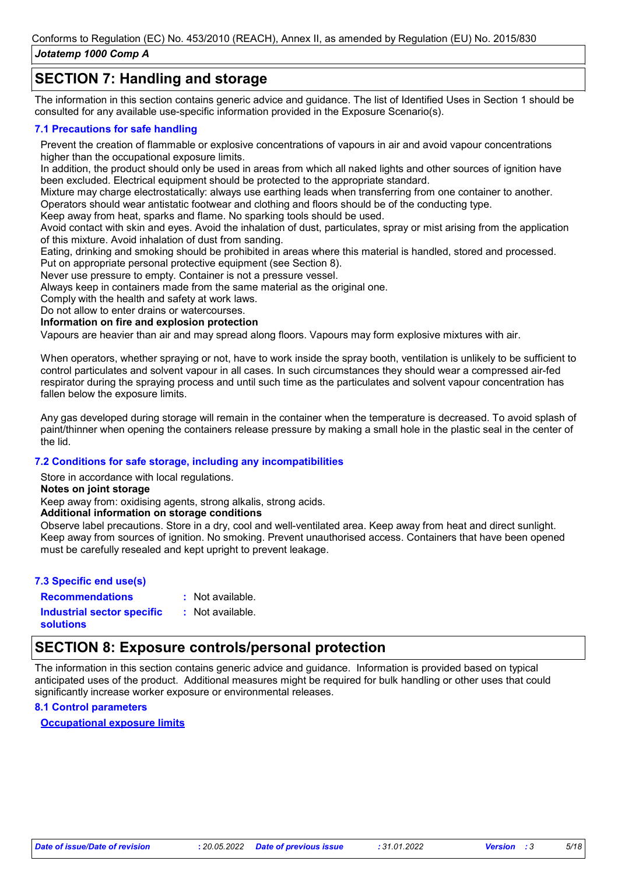### **SECTION 7: Handling and storage**

The information in this section contains generic advice and guidance. The list of Identified Uses in Section 1 should be consulted for any available use-specific information provided in the Exposure Scenario(s).

### **7.1 Precautions for safe handling**

Prevent the creation of flammable or explosive concentrations of vapours in air and avoid vapour concentrations higher than the occupational exposure limits.

In addition, the product should only be used in areas from which all naked lights and other sources of ignition have been excluded. Electrical equipment should be protected to the appropriate standard.

Mixture may charge electrostatically: always use earthing leads when transferring from one container to another. Operators should wear antistatic footwear and clothing and floors should be of the conducting type.

Keep away from heat, sparks and flame. No sparking tools should be used.

Avoid contact with skin and eyes. Avoid the inhalation of dust, particulates, spray or mist arising from the application of this mixture. Avoid inhalation of dust from sanding.

Eating, drinking and smoking should be prohibited in areas where this material is handled, stored and processed.

Put on appropriate personal protective equipment (see Section 8).

Never use pressure to empty. Container is not a pressure vessel.

Always keep in containers made from the same material as the original one.

Comply with the health and safety at work laws.

Do not allow to enter drains or watercourses.

**Information on fire and explosion protection**

Vapours are heavier than air and may spread along floors. Vapours may form explosive mixtures with air.

When operators, whether spraying or not, have to work inside the spray booth, ventilation is unlikely to be sufficient to control particulates and solvent vapour in all cases. In such circumstances they should wear a compressed air-fed respirator during the spraying process and until such time as the particulates and solvent vapour concentration has fallen below the exposure limits.

Any gas developed during storage will remain in the container when the temperature is decreased. To avoid splash of paint/thinner when opening the containers release pressure by making a small hole in the plastic seal in the center of the lid.

### **7.2 Conditions for safe storage, including any incompatibilities**

Store in accordance with local regulations.

**Notes on joint storage**

Keep away from: oxidising agents, strong alkalis, strong acids.

### **Additional information on storage conditions**

Observe label precautions. Store in a dry, cool and well-ventilated area. Keep away from heat and direct sunlight. Keep away from sources of ignition. No smoking. Prevent unauthorised access. Containers that have been opened must be carefully resealed and kept upright to prevent leakage.

| 7.3 Specific end use(s)           |                  |
|-----------------------------------|------------------|
| <b>Recommendations</b>            | : Not available. |
| <b>Industrial sector specific</b> | : Not available. |
| solutions                         |                  |

### **SECTION 8: Exposure controls/personal protection**

The information in this section contains generic advice and guidance. Information is provided based on typical anticipated uses of the product. Additional measures might be required for bulk handling or other uses that could significantly increase worker exposure or environmental releases.

### **8.1 Control parameters**

**Occupational exposure limits**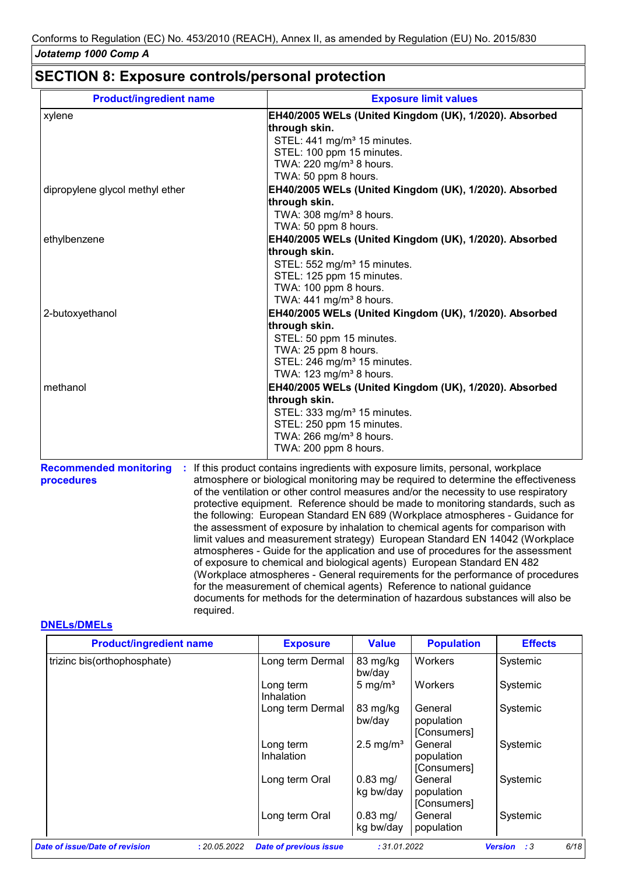### **SECTION 8: Exposure controls/personal protection**

| xylene                          | EH40/2005 WELs (United Kingdom (UK), 1/2020). Absorbed |
|---------------------------------|--------------------------------------------------------|
|                                 |                                                        |
|                                 | through skin.                                          |
|                                 | STEL: 441 mg/m <sup>3</sup> 15 minutes.                |
|                                 | STEL: 100 ppm 15 minutes.                              |
|                                 | TWA: 220 mg/m <sup>3</sup> 8 hours.                    |
|                                 | TWA: 50 ppm 8 hours.                                   |
| dipropylene glycol methyl ether | EH40/2005 WELs (United Kingdom (UK), 1/2020). Absorbed |
|                                 | through skin.                                          |
|                                 | TWA: 308 mg/m <sup>3</sup> 8 hours.                    |
|                                 | TWA: 50 ppm 8 hours.                                   |
| ethylbenzene                    | EH40/2005 WELs (United Kingdom (UK), 1/2020). Absorbed |
|                                 | through skin.                                          |
|                                 | STEL: 552 mg/m <sup>3</sup> 15 minutes.                |
|                                 | STEL: 125 ppm 15 minutes.                              |
|                                 | TWA: 100 ppm 8 hours.                                  |
|                                 | TWA: $441$ mg/m <sup>3</sup> 8 hours.                  |
| 2-butoxyethanol                 | EH40/2005 WELs (United Kingdom (UK), 1/2020). Absorbed |
|                                 | through skin.                                          |
|                                 | STEL: 50 ppm 15 minutes.                               |
|                                 | TWA: 25 ppm 8 hours.                                   |
|                                 | STEL: 246 mg/m <sup>3</sup> 15 minutes.                |
|                                 | TWA: 123 mg/m <sup>3</sup> 8 hours.                    |
| methanol                        | EH40/2005 WELs (United Kingdom (UK), 1/2020). Absorbed |
|                                 | through skin.                                          |
|                                 | STEL: 333 mg/m <sup>3</sup> 15 minutes.                |
|                                 | STEL: 250 ppm 15 minutes.                              |
|                                 | TWA: 266 mg/m <sup>3</sup> 8 hours.                    |
|                                 | TWA: 200 ppm 8 hours.                                  |

**procedures** atmosphere or biological monitoring may be required to determine the effectiveness of the ventilation or other control measures and/or the necessity to use respiratory protective equipment. Reference should be made to monitoring standards, such as the following: European Standard EN 689 (Workplace atmospheres - Guidance for the assessment of exposure by inhalation to chemical agents for comparison with limit values and measurement strategy) European Standard EN 14042 (Workplace atmospheres - Guide for the application and use of procedures for the assessment of exposure to chemical and biological agents) European Standard EN 482 (Workplace atmospheres - General requirements for the performance of procedures for the measurement of chemical agents) Reference to national guidance documents for methods for the determination of hazardous substances will also be required.

### **DNELs/DMELs**

| <b>Product/ingredient name</b> |              | <b>Exposure</b>               | <b>Value</b>                      | <b>Population</b>                    | <b>Effects</b>               |
|--------------------------------|--------------|-------------------------------|-----------------------------------|--------------------------------------|------------------------------|
| trizinc bis(orthophosphate)    |              | Long term Dermal              | 83 mg/kg<br>bw/day                | Workers                              | Systemic                     |
|                                |              | Long term<br>Inhalation       | 5 mg/ $m3$                        | Workers                              | Systemic                     |
|                                |              | Long term Dermal              | 83 mg/kg<br>bw/day                | General<br>population<br>[Consumers] | Systemic                     |
|                                |              | Long term<br>Inhalation       | $2.5 \text{ mg/m}^3$              | General<br>population<br>[Consumers] | Systemic                     |
|                                |              | Long term Oral                | $0.83$ mg/<br>kg bw/day           | General<br>population<br>[Consumers] | Systemic                     |
|                                |              | Long term Oral                | $0.83 \,\mathrm{mg}$<br>kg bw/day | General<br>population                | Systemic                     |
| Date of issue/Date of revision | : 20.05.2022 | <b>Date of previous issue</b> | :31.01.2022                       |                                      | 6/18<br>:3<br><b>Version</b> |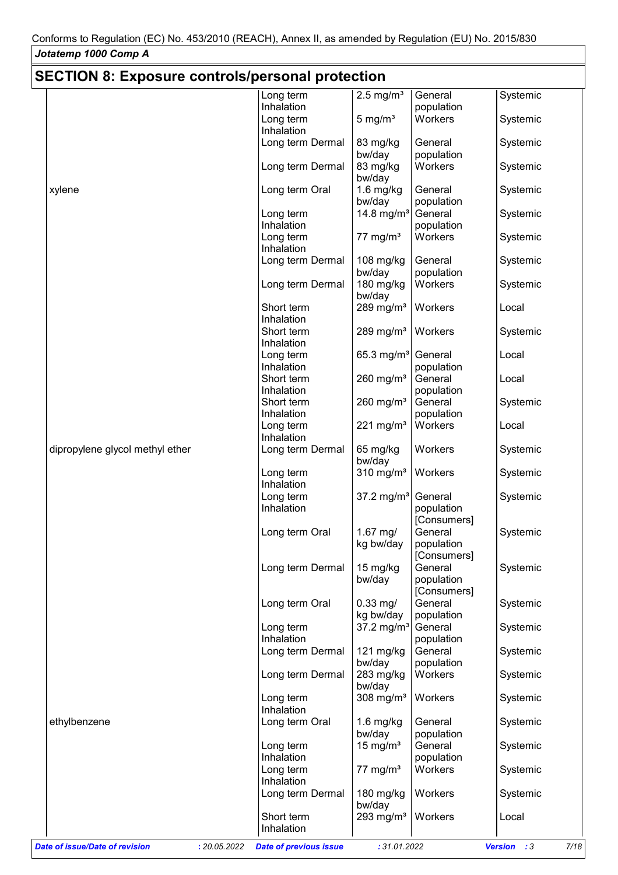## **SECTION 8: Exposure controls/personal protection**

| <u>ULUTION 0. LAPUSUIT CUITUUS/PEISUITAI PIULEULIUII</u> |                               |                         |                        |                                      |
|----------------------------------------------------------|-------------------------------|-------------------------|------------------------|--------------------------------------|
|                                                          | Long term                     | $2.5 \text{ mg/m}^3$    | General                | Systemic                             |
|                                                          | Inhalation                    |                         | population             |                                      |
|                                                          | Long term<br>Inhalation       | $5 \text{ mg/m}^3$      | Workers                | Systemic                             |
|                                                          | Long term Dermal              | 83 mg/kg                | General                | Systemic                             |
|                                                          |                               | bw/day                  | population             |                                      |
|                                                          | Long term Dermal              | 83 mg/kg                | Workers                | Systemic                             |
|                                                          |                               | bw/day                  |                        |                                      |
| xylene                                                   | Long term Oral                | $1.6$ mg/kg             | General                | Systemic                             |
|                                                          |                               | bw/day                  | population             |                                      |
|                                                          | Long term                     | 14.8 mg/ $m^3$          | General                | Systemic                             |
|                                                          | Inhalation                    |                         | population             |                                      |
|                                                          | Long term                     | 77 mg/ $m3$             | Workers                | Systemic                             |
|                                                          | Inhalation                    |                         |                        |                                      |
|                                                          | Long term Dermal              | 108 mg/kg               | General                | Systemic                             |
|                                                          |                               | bw/day                  | population             |                                      |
|                                                          | Long term Dermal              | 180 mg/kg               | Workers                | Systemic                             |
|                                                          |                               | bw/day                  |                        |                                      |
|                                                          | Short term<br>Inhalation      | 289 mg/m $3$            | Workers                | Local                                |
|                                                          | Short term                    | 289 mg/m <sup>3</sup>   | Workers                | Systemic                             |
|                                                          | Inhalation                    |                         |                        |                                      |
|                                                          | Long term                     | 65.3 mg/m <sup>3</sup>  | General                | Local                                |
|                                                          | Inhalation                    |                         | population             |                                      |
|                                                          | Short term                    | 260 mg/ $m3$            | General                | Local                                |
|                                                          | Inhalation                    |                         | population             |                                      |
|                                                          | Short term                    | 260 mg/ $m3$            | General                | Systemic                             |
|                                                          | Inhalation                    |                         | population             |                                      |
|                                                          | Long term                     | 221 mg/m $3$            | Workers                | Local                                |
|                                                          | Inhalation                    |                         |                        |                                      |
| dipropylene glycol methyl ether                          | Long term Dermal              | 65 mg/kg                | Workers                | Systemic                             |
|                                                          |                               | bw/day                  |                        |                                      |
|                                                          | Long term                     | $310$ mg/m <sup>3</sup> | Workers                | Systemic                             |
|                                                          | Inhalation                    |                         |                        |                                      |
|                                                          | Long term                     | 37.2 mg/m <sup>3</sup>  | General                | Systemic                             |
|                                                          | Inhalation                    |                         | population             |                                      |
|                                                          | Long term Oral                | $1.67$ mg/              | [Consumers]<br>General | Systemic                             |
|                                                          |                               | kg bw/day               | population             |                                      |
|                                                          |                               |                         | [Consumers]            |                                      |
|                                                          | Long term Dermal              | 15 mg/kg                | General                | Systemic                             |
|                                                          |                               | bw/day                  | population             |                                      |
|                                                          |                               |                         | [Consumers]            |                                      |
|                                                          | Long term Oral                | $0.33$ mg/              | General                | Systemic                             |
|                                                          |                               | kg bw/day               | population             |                                      |
|                                                          | Long term                     | 37.2 mg/m <sup>3</sup>  | General                | Systemic                             |
|                                                          | Inhalation                    |                         | population             |                                      |
|                                                          | Long term Dermal              | $121$ mg/kg             | General                | Systemic                             |
|                                                          |                               | bw/day                  | population             |                                      |
|                                                          | Long term Dermal              | 283 mg/kg               | Workers                | Systemic                             |
|                                                          |                               | bw/day                  |                        |                                      |
|                                                          | Long term<br>Inhalation       | 308 mg/ $m3$            | Workers                | Systemic                             |
|                                                          |                               |                         | General                |                                      |
| ethylbenzene                                             | Long term Oral                | $1.6$ mg/kg<br>bw/day   | population             | Systemic                             |
|                                                          | Long term                     | 15 mg/ $m3$             | General                | Systemic                             |
|                                                          | Inhalation                    |                         | population             |                                      |
|                                                          | Long term                     | 77 mg/ $m3$             | Workers                | Systemic                             |
|                                                          | Inhalation                    |                         |                        |                                      |
|                                                          | Long term Dermal              | 180 mg/kg               | Workers                | Systemic                             |
|                                                          |                               | bw/day                  |                        |                                      |
|                                                          | Short term                    | 293 mg/ $m3$            | Workers                | Local                                |
|                                                          | Inhalation                    |                         |                        |                                      |
| Date of issue/Date of revision<br>: 20.05.2022           | <b>Date of previous issue</b> | : 31.01.2022            |                        | 7/18<br><b>Version</b><br>$\cdot$ :3 |
|                                                          |                               |                         |                        |                                      |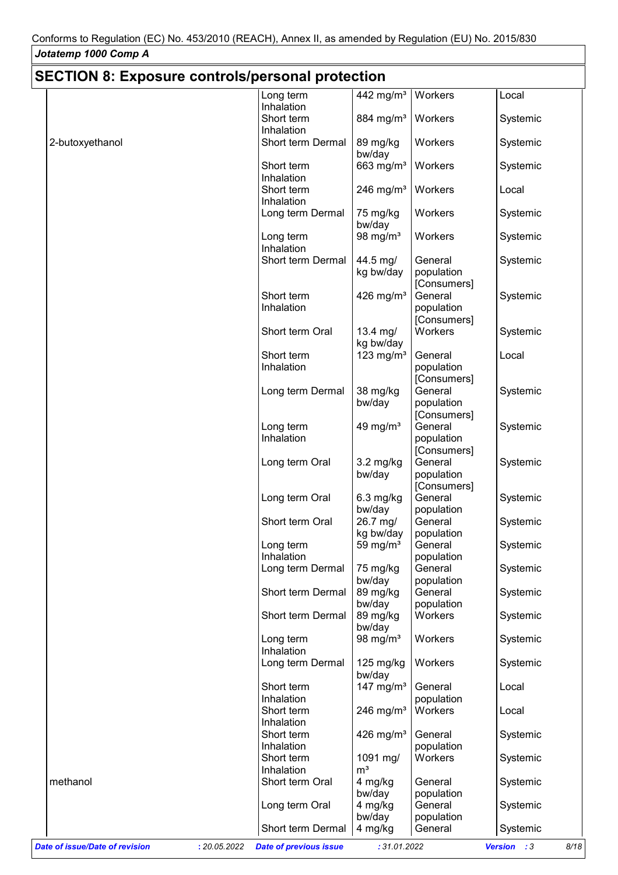# **SECTION 8: Exposure controls/personal protection**

|                                                       | Long term                     | 442 mg/m <sup>3</sup>  | Workers                | Local               |
|-------------------------------------------------------|-------------------------------|------------------------|------------------------|---------------------|
|                                                       | Inhalation                    |                        |                        |                     |
|                                                       | Short term<br>Inhalation      | 884 mg/m <sup>3</sup>  | Workers                | Systemic            |
| 2-butoxyethanol                                       | Short term Dermal             |                        | Workers                | Systemic            |
|                                                       |                               | 89 mg/kg<br>bw/day     |                        |                     |
|                                                       | Short term                    | 663 $mg/m3$            | Workers                | Systemic            |
|                                                       | Inhalation                    |                        |                        |                     |
|                                                       | Short term                    | 246 mg/ $m3$           | Workers                | Local               |
|                                                       | Inhalation                    |                        |                        |                     |
|                                                       | Long term Dermal              | 75 mg/kg               | Workers                | Systemic            |
|                                                       |                               | bw/day                 |                        |                     |
|                                                       | Long term                     | 98 mg/ $m3$            | Workers                | Systemic            |
|                                                       | Inhalation                    |                        |                        |                     |
|                                                       | Short term Dermal             | 44.5 mg/               | General                | Systemic            |
|                                                       |                               | kg bw/day              | population             |                     |
|                                                       | Short term                    | 426 mg/m <sup>3</sup>  | [Consumers]<br>General |                     |
|                                                       | Inhalation                    |                        | population             | Systemic            |
|                                                       |                               |                        | [Consumers]            |                     |
|                                                       | Short term Oral               | $13.4$ mg/             | Workers                | Systemic            |
|                                                       |                               | kg bw/day              |                        |                     |
|                                                       | Short term                    | 123 mg/m $3$           | General                | Local               |
|                                                       | Inhalation                    |                        | population             |                     |
|                                                       |                               |                        | [Consumers]            |                     |
|                                                       | Long term Dermal              | 38 mg/kg               | General                | Systemic            |
|                                                       |                               | bw/day                 | population             |                     |
|                                                       |                               |                        | [Consumers]            |                     |
|                                                       | Long term                     | 49 mg/ $m3$            | General                | Systemic            |
|                                                       | Inhalation                    |                        | population             |                     |
|                                                       | Long term Oral                | $3.2 \text{ mg/kg}$    | [Consumers]<br>General | Systemic            |
|                                                       |                               | bw/day                 | population             |                     |
|                                                       |                               |                        | [Consumers]            |                     |
|                                                       | Long term Oral                | $6.3$ mg/kg            | General                | Systemic            |
|                                                       |                               | bw/day                 | population             |                     |
|                                                       | Short term Oral               | 26.7 mg/               | General                | Systemic            |
|                                                       |                               | kg bw/day              | population             |                     |
|                                                       | Long term                     | 59 mg/ $m3$            | General                | Systemic            |
|                                                       | Inhalation                    |                        | population             |                     |
|                                                       | Long term Dermal              | 75 mg/kg               | General                | Systemic            |
|                                                       | Short term Dermal             | bw/day<br>89 mg/kg     | population<br>General  | Systemic            |
|                                                       |                               | bw/day                 | population             |                     |
|                                                       | Short term Dermal             | 89 mg/kg               | Workers                | Systemic            |
|                                                       |                               | bw/day                 |                        |                     |
|                                                       | Long term                     | 98 mg/ $m3$            | Workers                | Systemic            |
|                                                       | Inhalation                    |                        |                        |                     |
|                                                       | Long term Dermal              | 125 mg/kg              | Workers                | Systemic            |
|                                                       | Short term                    | bw/day<br>147 mg/ $m3$ | General                | Local               |
|                                                       | Inhalation                    |                        | population             |                     |
|                                                       | Short term                    | 246 mg/ $m3$           | Workers                | Local               |
|                                                       | Inhalation                    |                        |                        |                     |
|                                                       | Short term                    | 426 mg/ $m3$           | General                | Systemic            |
|                                                       | Inhalation                    |                        | population             |                     |
|                                                       | Short term                    | 1091 mg/               | Workers                | Systemic            |
|                                                       | Inhalation                    | m <sup>3</sup>         |                        |                     |
| methanol                                              | Short term Oral               | 4 mg/kg                | General                | Systemic            |
|                                                       |                               | bw/day                 | population<br>General  |                     |
|                                                       | Long term Oral                | 4 mg/kg<br>bw/day      | population             | Systemic            |
|                                                       | Short term Dermal             | 4 mg/kg                | General                | Systemic            |
|                                                       |                               |                        |                        |                     |
| <b>Date of issue/Date of revision</b><br>: 20.05.2022 | <b>Date of previous issue</b> | : 31.01.2022           |                        | Version : 3<br>8/18 |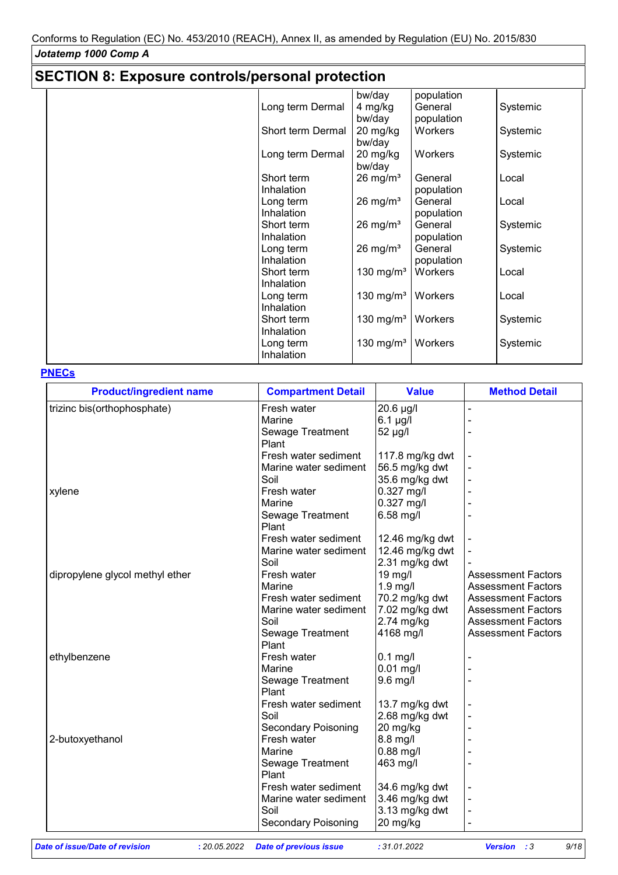## **SECTION 8: Exposure controls/personal protection**

|                   | bw/day                | population |          |
|-------------------|-----------------------|------------|----------|
| Long term Dermal  | 4 mg/kg               | General    | Systemic |
|                   | bw/day                | population |          |
| Short term Dermal | 20 mg/kg              | Workers    | Systemic |
|                   | bw/day                |            |          |
| Long term Dermal  | 20 mg/kg<br>bw/day    | Workers    | Systemic |
| Short term        | $26 \text{ mg/m}^3$   | General    | Local    |
| Inhalation        |                       | population |          |
| Long term         | $26 \text{ mg/m}^3$   | General    | Local    |
| Inhalation        |                       | population |          |
| Short term        | $26 \text{ mg/m}^3$   | General    | Systemic |
| Inhalation        |                       | population |          |
| Long term         | $26 \text{ mg/m}^3$   | General    | Systemic |
| Inhalation        |                       | population |          |
| Short term        | 130 mg/m $3$          | Workers    | Local    |
| <b>Inhalation</b> |                       |            |          |
| Long term         | 130 mg/m $3$          | Workers    | Local    |
| Inhalation        |                       |            |          |
| Short term        | 130 mg/m <sup>3</sup> | Workers    | Systemic |
| Inhalation        |                       |            |          |
| Long term         | 130 mg/m $3$          | Workers    | Systemic |
| Inhalation        |                       |            |          |

### **PNECs**

| <b>Product/ingredient name</b>  | <b>Compartment Detail</b>  | <b>Value</b>    | <b>Method Detail</b>      |
|---------------------------------|----------------------------|-----------------|---------------------------|
| trizinc bis(orthophosphate)     | Fresh water                | 20.6 µg/l       |                           |
|                                 | Marine                     | $6.1$ µg/l      |                           |
|                                 | Sewage Treatment           | 52 µg/l         |                           |
|                                 | Plant                      |                 |                           |
|                                 | Fresh water sediment       | 117.8 mg/kg dwt |                           |
|                                 | Marine water sediment      | 56.5 mg/kg dwt  |                           |
|                                 | Soil                       | 35.6 mg/kg dwt  |                           |
| xylene                          | Fresh water                | $0.327$ mg/l    |                           |
|                                 | Marine                     | $0.327$ mg/l    |                           |
|                                 | Sewage Treatment           | 6.58 mg/l       |                           |
|                                 | Plant                      |                 |                           |
|                                 | Fresh water sediment       | 12.46 mg/kg dwt |                           |
|                                 | Marine water sediment      | 12.46 mg/kg dwt |                           |
|                                 | Soil                       | 2.31 mg/kg dwt  |                           |
| dipropylene glycol methyl ether | Fresh water                | 19 mg/l         | <b>Assessment Factors</b> |
|                                 | Marine                     | 1.9 mg/l        | <b>Assessment Factors</b> |
|                                 | Fresh water sediment       | 70.2 mg/kg dwt  | <b>Assessment Factors</b> |
|                                 | Marine water sediment      | 7.02 mg/kg dwt  | <b>Assessment Factors</b> |
|                                 | Soil                       | $2.74$ mg/kg    | <b>Assessment Factors</b> |
|                                 | Sewage Treatment           | 4168 mg/l       | <b>Assessment Factors</b> |
|                                 | Plant                      |                 |                           |
| ethylbenzene                    | Fresh water                | $0.1$ mg/l      |                           |
|                                 | Marine                     | $0.01$ mg/l     |                           |
|                                 | Sewage Treatment           | 9.6 mg/l        |                           |
|                                 | Plant                      |                 |                           |
|                                 | Fresh water sediment       | 13.7 mg/kg dwt  |                           |
|                                 | Soil                       | 2.68 mg/kg dwt  |                           |
|                                 | <b>Secondary Poisoning</b> | 20 mg/kg        |                           |
| 2-butoxyethanol                 | Fresh water                | 8.8 mg/l        |                           |
|                                 | Marine                     | $0.88$ mg/l     |                           |
|                                 | Sewage Treatment           | 463 mg/l        |                           |
|                                 | Plant                      |                 |                           |
|                                 | Fresh water sediment       | 34.6 mg/kg dwt  |                           |
|                                 | Marine water sediment      | 3.46 mg/kg dwt  |                           |
|                                 | Soil                       | 3.13 mg/kg dwt  |                           |
|                                 | Secondary Poisoning        | 20 mg/kg        |                           |
|                                 |                            |                 |                           |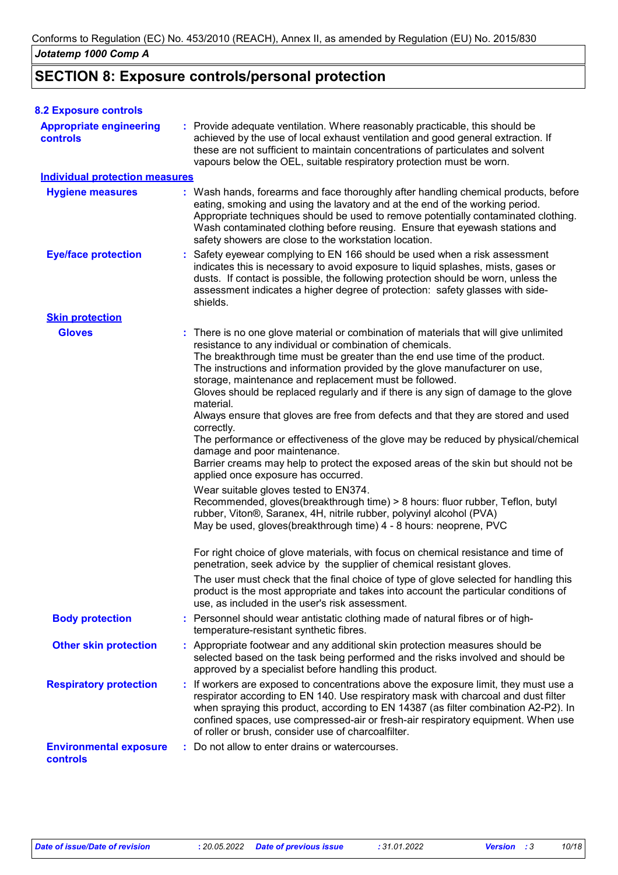### **SECTION 8: Exposure controls/personal protection**

| <b>8.2 Exposure controls</b>               |                                                                                                                                                                                                                                                                                                                                                                                                                                                                                                                                                                                                                                                                                                                                                                                                                                                                                                                                                                                                                                                                                                                                                                                                                                                                                                                                                                                                                                                                                                               |
|--------------------------------------------|---------------------------------------------------------------------------------------------------------------------------------------------------------------------------------------------------------------------------------------------------------------------------------------------------------------------------------------------------------------------------------------------------------------------------------------------------------------------------------------------------------------------------------------------------------------------------------------------------------------------------------------------------------------------------------------------------------------------------------------------------------------------------------------------------------------------------------------------------------------------------------------------------------------------------------------------------------------------------------------------------------------------------------------------------------------------------------------------------------------------------------------------------------------------------------------------------------------------------------------------------------------------------------------------------------------------------------------------------------------------------------------------------------------------------------------------------------------------------------------------------------------|
| <b>Appropriate engineering</b><br>controls | : Provide adequate ventilation. Where reasonably practicable, this should be<br>achieved by the use of local exhaust ventilation and good general extraction. If<br>these are not sufficient to maintain concentrations of particulates and solvent<br>vapours below the OEL, suitable respiratory protection must be worn.                                                                                                                                                                                                                                                                                                                                                                                                                                                                                                                                                                                                                                                                                                                                                                                                                                                                                                                                                                                                                                                                                                                                                                                   |
| <b>Individual protection measures</b>      |                                                                                                                                                                                                                                                                                                                                                                                                                                                                                                                                                                                                                                                                                                                                                                                                                                                                                                                                                                                                                                                                                                                                                                                                                                                                                                                                                                                                                                                                                                               |
| <b>Hygiene measures</b>                    | : Wash hands, forearms and face thoroughly after handling chemical products, before<br>eating, smoking and using the lavatory and at the end of the working period.<br>Appropriate techniques should be used to remove potentially contaminated clothing.<br>Wash contaminated clothing before reusing. Ensure that eyewash stations and<br>safety showers are close to the workstation location.                                                                                                                                                                                                                                                                                                                                                                                                                                                                                                                                                                                                                                                                                                                                                                                                                                                                                                                                                                                                                                                                                                             |
| <b>Eye/face protection</b>                 | : Safety eyewear complying to EN 166 should be used when a risk assessment<br>indicates this is necessary to avoid exposure to liquid splashes, mists, gases or<br>dusts. If contact is possible, the following protection should be worn, unless the<br>assessment indicates a higher degree of protection: safety glasses with side-<br>shields.                                                                                                                                                                                                                                                                                                                                                                                                                                                                                                                                                                                                                                                                                                                                                                                                                                                                                                                                                                                                                                                                                                                                                            |
| <b>Skin protection</b>                     |                                                                                                                                                                                                                                                                                                                                                                                                                                                                                                                                                                                                                                                                                                                                                                                                                                                                                                                                                                                                                                                                                                                                                                                                                                                                                                                                                                                                                                                                                                               |
| <b>Gloves</b>                              | : There is no one glove material or combination of materials that will give unlimited<br>resistance to any individual or combination of chemicals.<br>The breakthrough time must be greater than the end use time of the product.<br>The instructions and information provided by the glove manufacturer on use,<br>storage, maintenance and replacement must be followed.<br>Gloves should be replaced regularly and if there is any sign of damage to the glove<br>material.<br>Always ensure that gloves are free from defects and that they are stored and used<br>correctly.<br>The performance or effectiveness of the glove may be reduced by physical/chemical<br>damage and poor maintenance.<br>Barrier creams may help to protect the exposed areas of the skin but should not be<br>applied once exposure has occurred.<br>Wear suitable gloves tested to EN374.<br>Recommended, gloves(breakthrough time) > 8 hours: fluor rubber, Teflon, butyl<br>rubber, Viton®, Saranex, 4H, nitrile rubber, polyvinyl alcohol (PVA)<br>May be used, gloves(breakthrough time) 4 - 8 hours: neoprene, PVC<br>For right choice of glove materials, with focus on chemical resistance and time of<br>penetration, seek advice by the supplier of chemical resistant gloves.<br>The user must check that the final choice of type of glove selected for handling this<br>product is the most appropriate and takes into account the particular conditions of<br>use, as included in the user's risk assessment. |
| <b>Body protection</b>                     | : Personnel should wear antistatic clothing made of natural fibres or of high-<br>temperature-resistant synthetic fibres.                                                                                                                                                                                                                                                                                                                                                                                                                                                                                                                                                                                                                                                                                                                                                                                                                                                                                                                                                                                                                                                                                                                                                                                                                                                                                                                                                                                     |
| <b>Other skin protection</b>               | : Appropriate footwear and any additional skin protection measures should be<br>selected based on the task being performed and the risks involved and should be<br>approved by a specialist before handling this product.                                                                                                                                                                                                                                                                                                                                                                                                                                                                                                                                                                                                                                                                                                                                                                                                                                                                                                                                                                                                                                                                                                                                                                                                                                                                                     |
| <b>Respiratory protection</b>              | : If workers are exposed to concentrations above the exposure limit, they must use a<br>respirator according to EN 140. Use respiratory mask with charcoal and dust filter<br>when spraying this product, according to EN 14387 (as filter combination A2-P2). In<br>confined spaces, use compressed-air or fresh-air respiratory equipment. When use<br>of roller or brush, consider use of charcoalfilter.                                                                                                                                                                                                                                                                                                                                                                                                                                                                                                                                                                                                                                                                                                                                                                                                                                                                                                                                                                                                                                                                                                  |
| <b>Environmental exposure</b><br>controls  | Do not allow to enter drains or watercourses.                                                                                                                                                                                                                                                                                                                                                                                                                                                                                                                                                                                                                                                                                                                                                                                                                                                                                                                                                                                                                                                                                                                                                                                                                                                                                                                                                                                                                                                                 |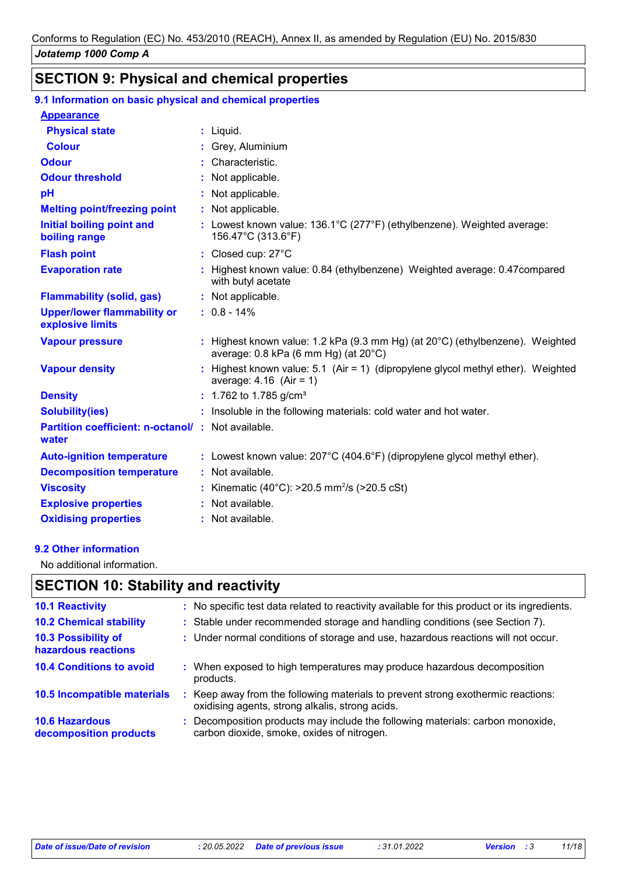## **SECTION 9: Physical and chemical properties**

### **9.1 Information on basic physical and chemical properties**

| <b>Appearance</b>                                          |                                                                                                                                             |
|------------------------------------------------------------|---------------------------------------------------------------------------------------------------------------------------------------------|
| <b>Physical state</b>                                      | $:$ Liquid.                                                                                                                                 |
| <b>Colour</b>                                              | : Grey, Aluminium                                                                                                                           |
| <b>Odour</b>                                               | : Characteristic.                                                                                                                           |
| <b>Odour threshold</b>                                     | : Not applicable.                                                                                                                           |
| pH                                                         | : Not applicable.                                                                                                                           |
| <b>Melting point/freezing point</b>                        | : Not applicable.                                                                                                                           |
| <b>Initial boiling point and</b><br>boiling range          | : Lowest known value: 136.1°C (277°F) (ethylbenzene). Weighted average:<br>156.47°C (313.6°F)                                               |
| <b>Flash point</b>                                         | : Closed cup: 27°C                                                                                                                          |
| <b>Evaporation rate</b>                                    | : Highest known value: 0.84 (ethylbenzene) Weighted average: 0.47 compared<br>with butyl acetate                                            |
| <b>Flammability (solid, gas)</b>                           | : Not applicable.                                                                                                                           |
| <b>Upper/lower flammability or</b><br>explosive limits     | $: 0.8 - 14\%$                                                                                                                              |
| <b>Vapour pressure</b>                                     | : Highest known value: 1.2 kPa (9.3 mm Hg) (at $20^{\circ}$ C) (ethylbenzene). Weighted<br>average: $0.8$ kPa (6 mm Hg) (at $20^{\circ}$ C) |
| <b>Vapour density</b>                                      | : Highest known value: 5.1 (Air = 1) (dipropylene glycol methyl ether). Weighted<br>average: $4.16$ (Air = 1)                               |
| <b>Density</b>                                             | $: 1.762$ to 1.785 g/cm <sup>3</sup>                                                                                                        |
| <b>Solubility(ies)</b>                                     | : Insoluble in the following materials: cold water and hot water.                                                                           |
| Partition coefficient: n-octanol/: Not available.<br>water |                                                                                                                                             |
| <b>Auto-ignition temperature</b>                           | : Lowest known value: $207^{\circ}$ C (404.6°F) (dipropylene glycol methyl ether).                                                          |
| <b>Decomposition temperature</b>                           | : Not available.                                                                                                                            |
| <b>Viscosity</b>                                           | : Kinematic (40°C): >20.5 mm <sup>2</sup> /s (>20.5 cSt)                                                                                    |
| <b>Explosive properties</b>                                | : Not available.                                                                                                                            |

#### **9.2 Other information**

No additional information.

### **SECTION 10: Stability and reactivity**

**Oxidising properties :** Not available.

| <b>10.1 Reactivity</b>                            |    | : No specific test data related to reactivity available for this product or its ingredients.                                      |
|---------------------------------------------------|----|-----------------------------------------------------------------------------------------------------------------------------------|
| <b>10.2 Chemical stability</b>                    |    | : Stable under recommended storage and handling conditions (see Section 7).                                                       |
| <b>10.3 Possibility of</b><br>hazardous reactions |    | : Under normal conditions of storage and use, hazardous reactions will not occur.                                                 |
| <b>10.4 Conditions to avoid</b>                   |    | : When exposed to high temperatures may produce hazardous decomposition<br>products.                                              |
| 10.5 Incompatible materials                       | ÷. | Keep away from the following materials to prevent strong exothermic reactions:<br>oxidising agents, strong alkalis, strong acids. |
| <b>10.6 Hazardous</b><br>decomposition products   |    | Decomposition products may include the following materials: carbon monoxide,<br>carbon dioxide, smoke, oxides of nitrogen.        |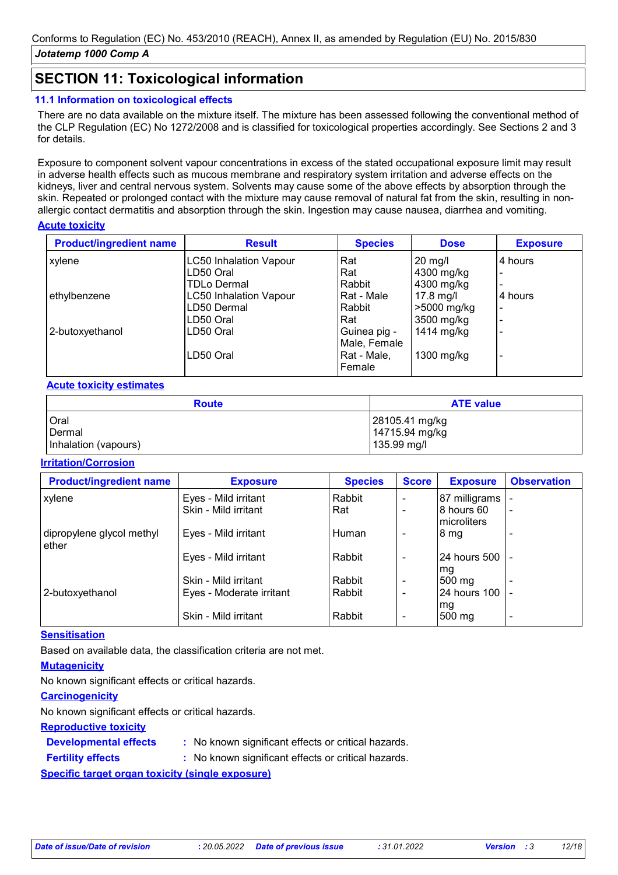### **SECTION 11: Toxicological information**

### **11.1 Information on toxicological effects**

There are no data available on the mixture itself. The mixture has been assessed following the conventional method of the CLP Regulation (EC) No 1272/2008 and is classified for toxicological properties accordingly. See Sections 2 and 3 for details.

Exposure to component solvent vapour concentrations in excess of the stated occupational exposure limit may result in adverse health effects such as mucous membrane and respiratory system irritation and adverse effects on the kidneys, liver and central nervous system. Solvents may cause some of the above effects by absorption through the skin. Repeated or prolonged contact with the mixture may cause removal of natural fat from the skin, resulting in nonallergic contact dermatitis and absorption through the skin. Ingestion may cause nausea, diarrhea and vomiting.

### **Acute toxicity**

| <b>Product/ingredient name</b> | <b>Result</b>                 | <b>Species</b> | <b>Dose</b>       | <b>Exposure</b>          |
|--------------------------------|-------------------------------|----------------|-------------------|--------------------------|
| xylene                         | <b>LC50 Inhalation Vapour</b> | Rat            | $20 \text{ mg/l}$ | 4 hours                  |
|                                | LD50 Oral                     | Rat            | 4300 mg/kg        | $\overline{\phantom{0}}$ |
|                                | <b>TDLo Dermal</b>            | Rabbit         | 4300 mg/kg        | $\blacksquare$           |
| ethylbenzene                   | <b>LC50 Inhalation Vapour</b> | Rat - Male     | 17.8 mg/l         | 4 hours                  |
|                                | LD50 Dermal                   | Rabbit         | >5000 mg/kg       | ۰                        |
|                                | LD50 Oral                     | Rat            | 3500 mg/kg        | $\overline{\phantom{0}}$ |
| 2-butoxyethanol                | LD50 Oral                     | Guinea pig -   | 1414 mg/kg        | $\overline{\phantom{0}}$ |
|                                |                               | Male, Female   |                   |                          |
|                                | LD50 Oral                     | Rat - Male,    | 1300 $mg/kg$      | $\overline{\phantom{0}}$ |
|                                |                               | Female         |                   |                          |

### **Acute toxicity estimates**

| <b>Route</b>         | <b>ATE value</b> |
|----------------------|------------------|
| <b>Oral</b>          | 28105.41 mg/kg   |
| Dermal               | 14715.94 mg/kg   |
| Inhalation (vapours) | 135.99 mg/l      |

### **Irritation/Corrosion**

| <b>Product/ingredient name</b>       | <b>Exposure</b>          | <b>Species</b> | <b>Score</b> | <b>Exposure</b>           | <b>Observation</b> |
|--------------------------------------|--------------------------|----------------|--------------|---------------------------|--------------------|
| xylene                               | Eyes - Mild irritant     | Rabbit         |              | 87 milligrams             |                    |
|                                      | Skin - Mild irritant     | Rat            |              | 8 hours 60<br>microliters |                    |
| dipropylene glycol methyl<br>l ether | Eyes - Mild irritant     | Human          |              | 8 mg                      |                    |
|                                      | Eyes - Mild irritant     | Rabbit         |              | 24 hours 500<br>mg        |                    |
|                                      | Skin - Mild irritant     | Rabbit         |              | 500 mg                    |                    |
| 2-butoxyethanol                      | Eyes - Moderate irritant | Rabbit         |              | 24 hours 100              |                    |
|                                      | Skin - Mild irritant     | Rabbit         |              | mg<br>$500 \text{ mg}$    |                    |

### **Sensitisation**

Based on available data, the classification criteria are not met.

### **Mutagenicity**

No known significant effects or critical hazards.

### **Carcinogenicity**

**Fertility effects :**

No known significant effects or critical hazards.

#### **Reproductive toxicity**

**Developmental effects :** : No known significant effects or critical hazards.

: No known significant effects or critical hazards.

**Specific target organ toxicity (single exposure)**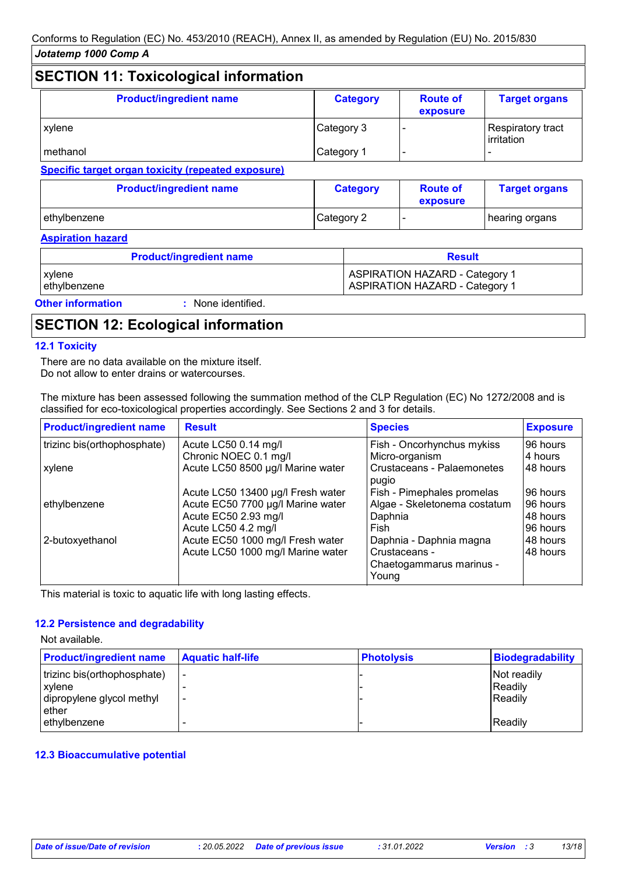#### **SECTION 11: Toxicological information Product/ingredient name**  $\qquad$  **| Category Route of exposure Target organs** xylene **Category 3** - Respiratory tract irritation methanol Category 1 - -

**Specific target organ toxicity (repeated exposure)**

| <b>Product/ingredient name</b> | <b>Category</b> | <b>Route of</b><br>exposure | <b>Target organs</b> |
|--------------------------------|-----------------|-----------------------------|----------------------|
| ethvlbenzene                   | Category 2      |                             | hearing organs       |

#### **Aspiration hazard**

| <b>Product/ingredient name</b>               | <b>Result</b>                                                                  |
|----------------------------------------------|--------------------------------------------------------------------------------|
| xylene<br>ethylbenzene                       | <b>ASPIRATION HAZARD - Category 1</b><br><b>ASPIRATION HAZARD - Category 1</b> |
| <b>Other information</b><br>None identified. |                                                                                |

### **SECTION 12: Ecological information**

### **12.1 Toxicity**

There are no data available on the mixture itself. Do not allow to enter drains or watercourses.

The mixture has been assessed following the summation method of the CLP Regulation (EC) No 1272/2008 and is classified for eco-toxicological properties accordingly. See Sections 2 and 3 for details.

| <b>Product/ingredient name</b> | <b>Result</b>                     | <b>Species</b>                             | <b>Exposure</b> |
|--------------------------------|-----------------------------------|--------------------------------------------|-----------------|
| trizinc bis(orthophosphate)    | Acute LC50 0.14 mg/l              | Fish - Oncorhynchus mykiss                 | 96 hours        |
|                                | Chronic NOEC 0.1 mg/l             | Micro-organism                             | 4 hours         |
| xylene                         | Acute LC50 8500 µg/l Marine water | <b>Crustaceans - Palaemonetes</b><br>pugio | 48 hours        |
|                                | Acute LC50 13400 µg/l Fresh water | Fish - Pimephales promelas                 | 96 hours        |
| ethylbenzene                   | Acute EC50 7700 µg/l Marine water | Algae - Skeletonema costatum               | 96 hours        |
|                                | Acute EC50 2.93 mg/l              | Daphnia                                    | 48 hours        |
|                                | Acute LC50 4.2 mg/l               | Fish                                       | 96 hours        |
| 2-butoxyethanol                | Acute EC50 1000 mg/l Fresh water  | Daphnia - Daphnia magna                    | 48 hours        |
|                                | Acute LC50 1000 mg/l Marine water | Crustaceans -                              | 48 hours        |
|                                |                                   | Chaetogammarus marinus -                   |                 |
|                                |                                   | Young                                      |                 |

This material is toxic to aquatic life with long lasting effects.

#### **12.2 Persistence and degradability**

Not available.

| <b>Product/ingredient name</b> | <b>Aquatic half-life</b> | <b>Photolysis</b> | <b>Biodegradability</b> |
|--------------------------------|--------------------------|-------------------|-------------------------|
| trizinc bis(orthophosphate)    | -                        |                   | Not readily             |
| xylene                         |                          |                   | Readily                 |
| dipropylene glycol methyl      | $\overline{\phantom{0}}$ |                   | Readily                 |
| ether                          |                          |                   |                         |
| ethylbenzene                   |                          |                   | Readily                 |

### **12.3 Bioaccumulative potential**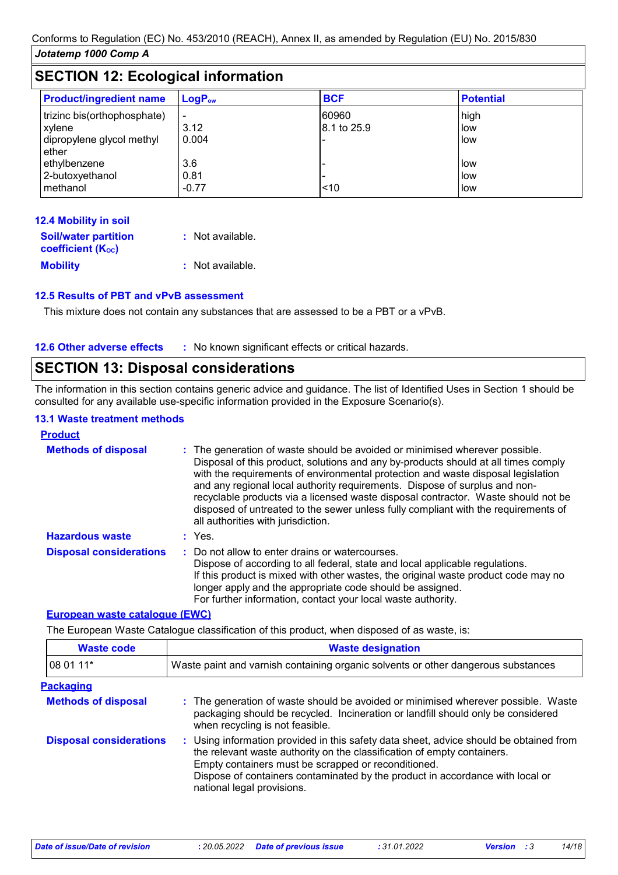| <b>SECTION 12: Ecological information</b>                                                   |                                        |                      |                                  |
|---------------------------------------------------------------------------------------------|----------------------------------------|----------------------|----------------------------------|
| <b>Product/ingredient name</b>                                                              | $LogP_{ow}$                            | <b>BCF</b>           | <b>Potential</b>                 |
| trizinc bis(orthophosphate)<br>xylene<br>dipropylene glycol methyl<br>ether<br>ethylbenzene | $\blacksquare$<br>3.12<br>0.004<br>3.6 | 60960<br>8.1 to 25.9 | high<br>low<br><b>low</b><br>low |
| 2-butoxyethanol<br>methanol                                                                 | 0.81<br>$-0.77$                        | 10                   | <b>I</b> low<br>low              |

| 12.4 Mobility in soil                                   |                  |
|---------------------------------------------------------|------------------|
| <b>Soil/water partition</b><br><b>coefficient (Koc)</b> | : Not available. |
| <b>Mobility</b>                                         | : Not available. |

### **12.5 Results of PBT and vPvB assessment**

This mixture does not contain any substances that are assessed to be a PBT or a vPvB.

**12.6 Other adverse effects** : No known significant effects or critical hazards.

### **SECTION 13: Disposal considerations**

The information in this section contains generic advice and guidance. The list of Identified Uses in Section 1 should be consulted for any available use-specific information provided in the Exposure Scenario(s).

### **13.1 Waste treatment methods**

| <b>Product</b>                 |                                                                                                                                                                                                                                                                                                                                                                                                                                                                                                                                                      |
|--------------------------------|------------------------------------------------------------------------------------------------------------------------------------------------------------------------------------------------------------------------------------------------------------------------------------------------------------------------------------------------------------------------------------------------------------------------------------------------------------------------------------------------------------------------------------------------------|
| <b>Methods of disposal</b>     | : The generation of waste should be avoided or minimised wherever possible.<br>Disposal of this product, solutions and any by-products should at all times comply<br>with the requirements of environmental protection and waste disposal legislation<br>and any regional local authority requirements. Dispose of surplus and non-<br>recyclable products via a licensed waste disposal contractor. Waste should not be<br>disposed of untreated to the sewer unless fully compliant with the requirements of<br>all authorities with jurisdiction. |
| <b>Hazardous waste</b>         | $:$ Yes.                                                                                                                                                                                                                                                                                                                                                                                                                                                                                                                                             |
| <b>Disposal considerations</b> | : Do not allow to enter drains or watercourses.<br>Dispose of according to all federal, state and local applicable regulations.<br>If this product is mixed with other wastes, the original waste product code may no<br>longer apply and the appropriate code should be assigned.<br>For further information, contact your local waste authority.                                                                                                                                                                                                   |

#### **European waste catalogue (EWC)**

The European Waste Catalogue classification of this product, when disposed of as waste, is:

| <b>Waste code</b>              | <b>Waste designation</b>                                                                                                                                                                                                                                                                                                                |  |
|--------------------------------|-----------------------------------------------------------------------------------------------------------------------------------------------------------------------------------------------------------------------------------------------------------------------------------------------------------------------------------------|--|
| 08 01 11*                      | Waste paint and varnish containing organic solvents or other dangerous substances                                                                                                                                                                                                                                                       |  |
| <b>Packaging</b>               |                                                                                                                                                                                                                                                                                                                                         |  |
| <b>Methods of disposal</b>     | : The generation of waste should be avoided or minimised wherever possible. Waste<br>packaging should be recycled. Incineration or landfill should only be considered<br>when recycling is not feasible.                                                                                                                                |  |
| <b>Disposal considerations</b> | : Using information provided in this safety data sheet, advice should be obtained from<br>the relevant waste authority on the classification of empty containers.<br>Empty containers must be scrapped or reconditioned.<br>Dispose of containers contaminated by the product in accordance with local or<br>national legal provisions. |  |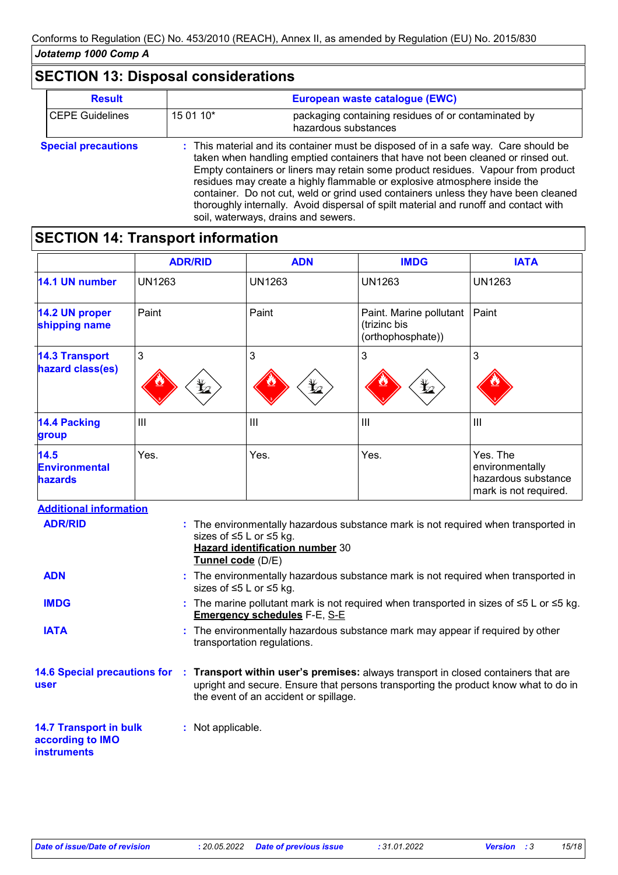## **SECTION 13: Disposal considerations**

| <b>Result</b>              |           | European waste catalogue (EWC)                                                                                                                                                                                                                                                                                                                                                                                                                                                                                                                                |
|----------------------------|-----------|---------------------------------------------------------------------------------------------------------------------------------------------------------------------------------------------------------------------------------------------------------------------------------------------------------------------------------------------------------------------------------------------------------------------------------------------------------------------------------------------------------------------------------------------------------------|
| <b>CEPE Guidelines</b>     | 15 01 10* | packaging containing residues of or contaminated by<br>hazardous substances                                                                                                                                                                                                                                                                                                                                                                                                                                                                                   |
| <b>Special precautions</b> |           | : This material and its container must be disposed of in a safe way. Care should be<br>taken when handling emptied containers that have not been cleaned or rinsed out.<br>Empty containers or liners may retain some product residues. Vapour from product<br>residues may create a highly flammable or explosive atmosphere inside the<br>container. Do not cut, weld or grind used containers unless they have been cleaned<br>thoroughly internally. Avoid dispersal of spilt material and runoff and contact with<br>soil, waterways, drains and sewers. |

## **SECTION 14: Transport information**

|                                                | <b>ADR/RID</b>  | <b>ADN</b>                                                                              | <b>IMDG</b>                                                  | <b>IATA</b>                                                                 |
|------------------------------------------------|-----------------|-----------------------------------------------------------------------------------------|--------------------------------------------------------------|-----------------------------------------------------------------------------|
| 14.1 UN number                                 | <b>UN1263</b>   | UN1263                                                                                  | <b>UN1263</b>                                                | <b>UN1263</b>                                                               |
| 14.2 UN proper<br>shipping name                | Paint           | Paint                                                                                   | Paint. Marine pollutant<br>(trizinc bis<br>(orthophosphate)) | Paint                                                                       |
| <b>14.3 Transport</b><br>hazard class(es)      | 3<br>$\bigstar$ | 3<br>$\mathbf{\mathbf{\underline{Y}}}% =\mathbf{\mathbf{Z}}_{1}\mathbf{\mathbf{Z}}_{2}$ | 3<br>$\bigstar$                                              | 3                                                                           |
| <b>14.4 Packing</b><br>group                   | $\mathbf{III}$  | $\mathbf{III}$                                                                          | $\mathbf{III}$                                               | $\mathbf{III}$                                                              |
| 14.5<br><b>Environmental</b><br><b>hazards</b> | Yes.            | Yes.                                                                                    | Yes.                                                         | Yes. The<br>environmentally<br>hazardous substance<br>mark is not required. |

| <b>Additional information</b>                                           |                                                                                                                                                                                                                    |  |
|-------------------------------------------------------------------------|--------------------------------------------------------------------------------------------------------------------------------------------------------------------------------------------------------------------|--|
| <b>ADR/RID</b>                                                          | : The environmentally hazardous substance mark is not required when transported in<br>sizes of ≤5 L or ≤5 kg.<br>Hazard identification number 30<br>Tunnel code (D/E)                                              |  |
| <b>ADN</b>                                                              | : The environmentally hazardous substance mark is not required when transported in<br>sizes of ≤5 L or ≤5 kg.                                                                                                      |  |
| <b>IMDG</b>                                                             | : The marine pollutant mark is not required when transported in sizes of $\leq 5$ L or $\leq 5$ kg.<br><b>Emergency schedules F-E, S-E</b>                                                                         |  |
| <b>IATA</b>                                                             | : The environmentally hazardous substance mark may appear if required by other<br>transportation regulations.                                                                                                      |  |
| <b>14.6 Special precautions for</b><br><b>user</b>                      | : Transport within user's premises: always transport in closed containers that are<br>upright and secure. Ensure that persons transporting the product know what to do in<br>the event of an accident or spillage. |  |
| <b>14.7 Transport in bulk</b><br>according to IMO<br><b>instruments</b> | : Not applicable.                                                                                                                                                                                                  |  |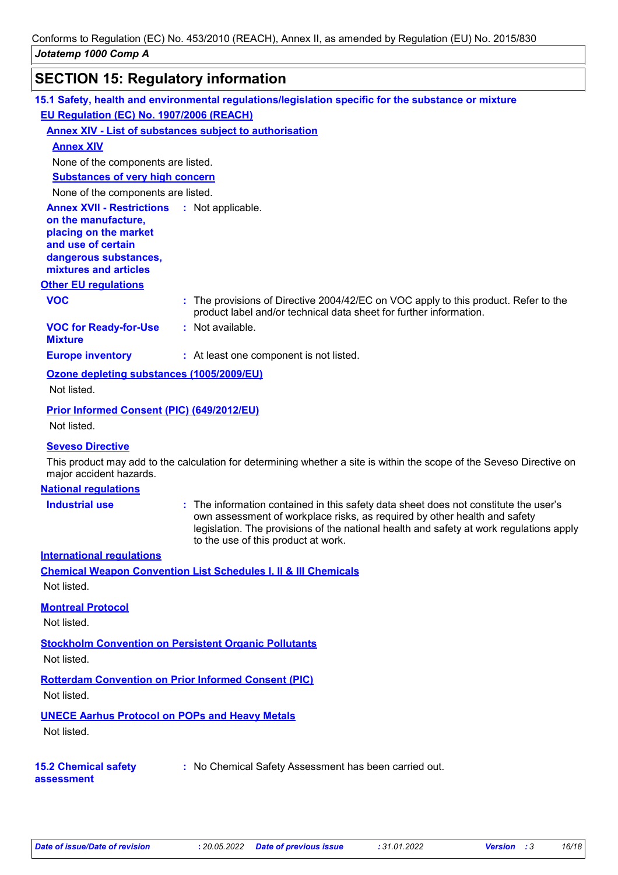# **SECTION 15: Regulatory information**

|                                                                                                                                                                            | 15.1 Safety, health and environmental regulations/legislation specific for the substance or mixture                                                                                                                                                                                                 |
|----------------------------------------------------------------------------------------------------------------------------------------------------------------------------|-----------------------------------------------------------------------------------------------------------------------------------------------------------------------------------------------------------------------------------------------------------------------------------------------------|
| EU Regulation (EC) No. 1907/2006 (REACH)                                                                                                                                   |                                                                                                                                                                                                                                                                                                     |
|                                                                                                                                                                            | <b>Annex XIV - List of substances subject to authorisation</b>                                                                                                                                                                                                                                      |
| <b>Annex XIV</b>                                                                                                                                                           |                                                                                                                                                                                                                                                                                                     |
| None of the components are listed.                                                                                                                                         |                                                                                                                                                                                                                                                                                                     |
| <b>Substances of very high concern</b>                                                                                                                                     |                                                                                                                                                                                                                                                                                                     |
| None of the components are listed.                                                                                                                                         |                                                                                                                                                                                                                                                                                                     |
| <b>Annex XVII - Restrictions : Not applicable.</b><br>on the manufacture,<br>placing on the market<br>and use of certain<br>dangerous substances,<br>mixtures and articles |                                                                                                                                                                                                                                                                                                     |
| <b>Other EU regulations</b>                                                                                                                                                |                                                                                                                                                                                                                                                                                                     |
| <b>VOC</b>                                                                                                                                                                 | : The provisions of Directive 2004/42/EC on VOC apply to this product. Refer to the<br>product label and/or technical data sheet for further information.                                                                                                                                           |
| <b>VOC for Ready-for-Use</b><br><b>Mixture</b>                                                                                                                             | : Not available.                                                                                                                                                                                                                                                                                    |
| <b>Europe inventory</b>                                                                                                                                                    | : At least one component is not listed.                                                                                                                                                                                                                                                             |
| Ozone depleting substances (1005/2009/EU)                                                                                                                                  |                                                                                                                                                                                                                                                                                                     |
| Not listed.                                                                                                                                                                |                                                                                                                                                                                                                                                                                                     |
| Prior Informed Consent (PIC) (649/2012/EU)                                                                                                                                 |                                                                                                                                                                                                                                                                                                     |
| Not listed.                                                                                                                                                                |                                                                                                                                                                                                                                                                                                     |
| <b>Seveso Directive</b>                                                                                                                                                    |                                                                                                                                                                                                                                                                                                     |
| major accident hazards.                                                                                                                                                    | This product may add to the calculation for determining whether a site is within the scope of the Seveso Directive on                                                                                                                                                                               |
| <b>National regulations</b>                                                                                                                                                |                                                                                                                                                                                                                                                                                                     |
| <b>Industrial use</b>                                                                                                                                                      | : The information contained in this safety data sheet does not constitute the user's<br>own assessment of workplace risks, as required by other health and safety<br>legislation. The provisions of the national health and safety at work regulations apply<br>to the use of this product at work. |
| <b>International regulations</b>                                                                                                                                           |                                                                                                                                                                                                                                                                                                     |
|                                                                                                                                                                            | <b>Chemical Weapon Convention List Schedules I, II &amp; III Chemicals</b>                                                                                                                                                                                                                          |
| Not listed.                                                                                                                                                                |                                                                                                                                                                                                                                                                                                     |
| <b>Montreal Protocol</b>                                                                                                                                                   |                                                                                                                                                                                                                                                                                                     |
| Not listed.                                                                                                                                                                |                                                                                                                                                                                                                                                                                                     |
| <b>Stockholm Convention on Persistent Organic Pollutants</b><br>Not listed.                                                                                                |                                                                                                                                                                                                                                                                                                     |
| <b>Rotterdam Convention on Prior Informed Consent (PIC)</b><br>Not listed.                                                                                                 |                                                                                                                                                                                                                                                                                                     |
| <b>UNECE Aarhus Protocol on POPs and Heavy Metals</b><br>Not listed.                                                                                                       |                                                                                                                                                                                                                                                                                                     |
| <b>15.2 Chemical safety</b><br>assessment                                                                                                                                  | : No Chemical Safety Assessment has been carried out.                                                                                                                                                                                                                                               |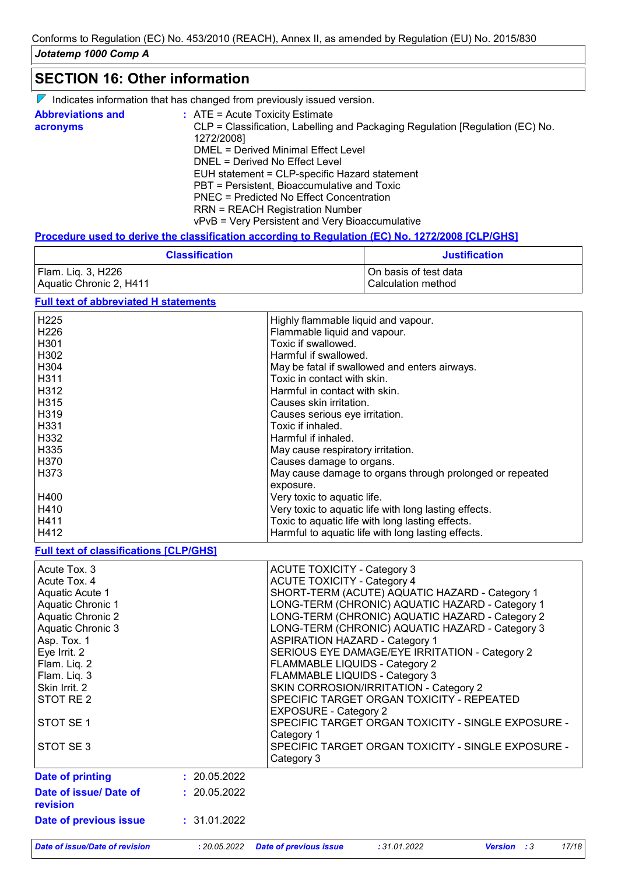### **SECTION 16: Other information**

| $\nabla$ Indicates information that has changed from previously issued version. |  |
|---------------------------------------------------------------------------------|--|
|---------------------------------------------------------------------------------|--|

| <b>Abbreviations and</b><br>acronyms | $:$ ATE = Acute Toxicity Estimate<br>CLP = Classification, Labelling and Packaging Regulation [Regulation (EC) No. |
|--------------------------------------|--------------------------------------------------------------------------------------------------------------------|
|                                      | 1272/2008]<br>DMEL = Derived Minimal Effect Level                                                                  |
|                                      |                                                                                                                    |
|                                      | DNEL = Derived No Effect Level                                                                                     |
|                                      | EUH statement = CLP-specific Hazard statement                                                                      |
|                                      | PBT = Persistent, Bioaccumulative and Toxic                                                                        |
|                                      | PNEC = Predicted No Effect Concentration                                                                           |
|                                      | <b>RRN = REACH Registration Number</b>                                                                             |
|                                      | vPvB = Very Persistent and Very Bioaccumulative                                                                    |

### **Procedure used to derive the classification according to Regulation (EC) No. 1272/2008 [CLP/GHS]**

| <b>Classification</b>   | <b>Justification</b>  |  |  |
|-------------------------|-----------------------|--|--|
| Flam. Liq. 3, H226      | On basis of test data |  |  |
| Aquatic Chronic 2, H411 | l Calculation method  |  |  |

### **Full text of abbreviated H statements**

| H <sub>225</sub> | Highly flammable liquid and vapour.                      |
|------------------|----------------------------------------------------------|
| H <sub>226</sub> | Flammable liquid and vapour.                             |
| H <sub>301</sub> | Toxic if swallowed.                                      |
| H302             | Harmful if swallowed.                                    |
| H304             | May be fatal if swallowed and enters airways.            |
| H311             | Toxic in contact with skin.                              |
| H312             | Harmful in contact with skin.                            |
| H315             | Causes skin irritation.                                  |
| H319             | Causes serious eye irritation.                           |
| H <sub>331</sub> | Toxic if inhaled.                                        |
| H332             | Harmful if inhaled.                                      |
| H335             | May cause respiratory irritation.                        |
| H <sub>370</sub> | Causes damage to organs.                                 |
| H373             | May cause damage to organs through prolonged or repeated |
|                  | exposure.                                                |
| H400             | Very toxic to aquatic life.                              |
| H410             | Very toxic to aquatic life with long lasting effects.    |
| H411             | Toxic to aquatic life with long lasting effects.         |
| H412             | Harmful to aquatic life with long lasting effects.       |

**Full text of classifications [CLP/GHS]**

| <b>Date of printing</b><br>Date of issue/ Date of<br>revision<br>Date of previous issue                        | : 20.05.2022<br>: 20.05.2022<br>: 31.01.2022 | Category 3                                                                                                                                |                                                                                                                                                                                          |  |  |
|----------------------------------------------------------------------------------------------------------------|----------------------------------------------|-------------------------------------------------------------------------------------------------------------------------------------------|------------------------------------------------------------------------------------------------------------------------------------------------------------------------------------------|--|--|
| STOT SE <sub>1</sub><br>STOT SE3                                                                               |                                              | Category 1                                                                                                                                | SPECIFIC TARGET ORGAN TOXICITY - SINGLE EXPOSURE -<br>SPECIFIC TARGET ORGAN TOXICITY - SINGLE EXPOSURE -                                                                                 |  |  |
| Aquatic Chronic 3<br>Asp. Tox. 1<br>Eye Irrit. 2<br>Flam. Liq. 2<br>Flam. Liq. 3<br>Skin Irrit. 2<br>STOT RE 2 |                                              | <b>ASPIRATION HAZARD - Category 1</b><br>FLAMMABLE LIQUIDS - Category 2<br>FLAMMABLE LIQUIDS - Category 3<br><b>EXPOSURE - Category 2</b> | LONG-TERM (CHRONIC) AQUATIC HAZARD - Category 3<br>SERIOUS EYE DAMAGE/EYE IRRITATION - Category 2<br>SKIN CORROSION/IRRITATION - Category 2<br>SPECIFIC TARGET ORGAN TOXICITY - REPEATED |  |  |
| Acute Tox, 3<br>Acute Tox, 4<br>Aquatic Acute 1<br>Aquatic Chronic 1<br><b>Aquatic Chronic 2</b>               |                                              | <b>ACUTE TOXICITY - Category 3</b><br><b>ACUTE TOXICITY - Category 4</b>                                                                  | SHORT-TERM (ACUTE) AQUATIC HAZARD - Category 1<br>LONG-TERM (CHRONIC) AQUATIC HAZARD - Category 1<br>LONG-TERM (CHRONIC) AQUATIC HAZARD - Category 2                                     |  |  |